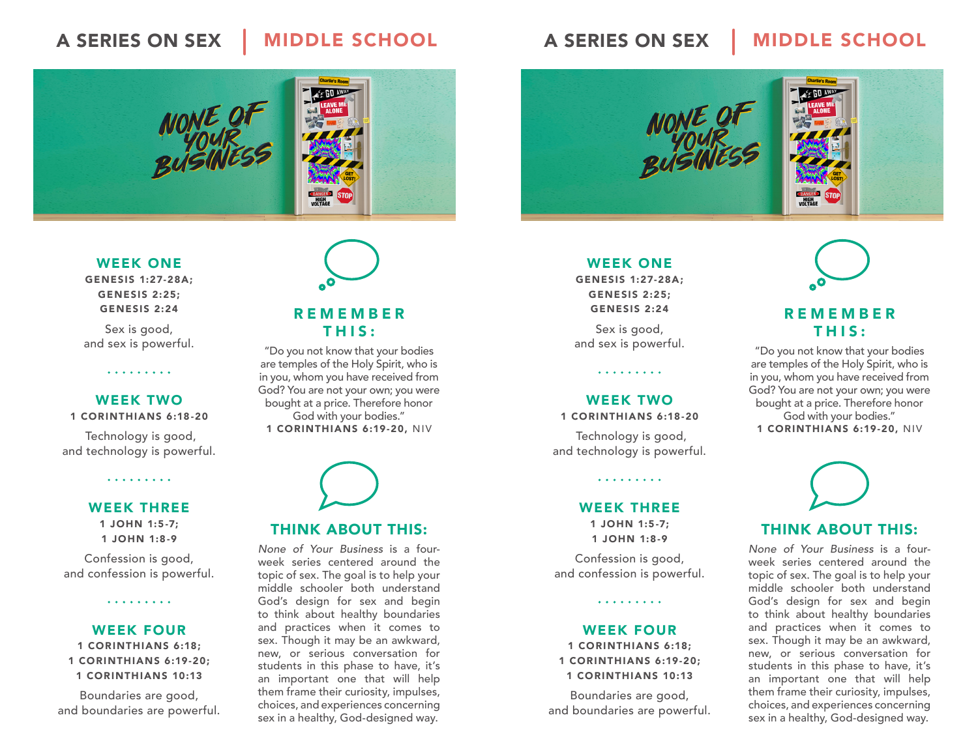## A SERIES ON SEX A MIDDLE SCHOOL



### WEEK ONE

GENESIS 1:27-28A; GENESIS 2:25; GENESIS 2:24

Sex is good, and sex is powerful.

### WEEK TWO

#### 1 CORINTHIANS 6:18-20

 Technology is good, and technology is powerful.

. . . . . . . . .

### WEEK THREE

1 JOHN 1:5-7; 1 JOHN 1:8-9

Confession is good, and confession is powerful.

. . . . . . . . .

### WEEK FOUR

1 CORINTHIANS 6:18; 1 CORINTHIANS 6:19-20; 1 CORINTHIANS 10:13

Boundaries are good, and boundaries are powerful.



### REMEMBER THIS:

"Do you not know that your bodies are temples of the Holy Spirit, who is in you, whom you have received from God? You are not your own; you were bought at a price. Therefore honor God with your bodies." 1 CORINTHIANS 6:19-20, NIV



### THINK ABOUT THIS:

None of Your Business is a fourweek series centered around the topic of sex. The goal is to help your middle schooler both understand God's design for sex and begin to think about healthy boundaries and practices when it comes to sex. Though it may be an awkward, new, or serious conversation for students in this phase to have, it's an important one that will help them frame their curiosity, impulses, choices, and experiences concerning sex in a healthy, God-designed way.